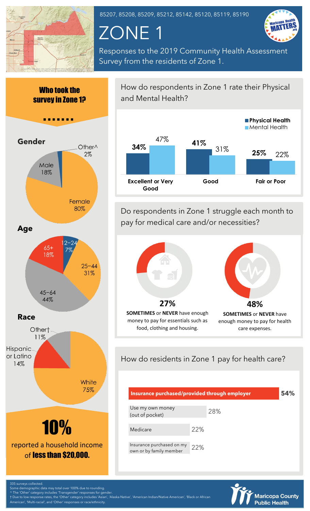

85207, 85208, 85209, 85212, 85142, 85120, 85119, 85190

# ZONE 1



Responses to the 2019 Community Health Assessment Survey from the residents of Zone 1.





How do respondents in Zone 1 rate their Physical and Mental Health?



Do respondents in Zone 1 struggle each month to pay for medical care and/or necessities?



# How do residents in Zone 1 pay for health care?

| Insurance purchased/provided through employer        |     |     |  | 54% |
|------------------------------------------------------|-----|-----|--|-----|
| Use my own money<br>(out of pocket)                  |     | 28% |  |     |
| Medicare                                             | 22% |     |  |     |
| Insurance purchased on my<br>own or by family member | 22% |     |  |     |



irveys collected Some demographic data may total over 100% due to rounding.

of less than \$20,000.

^ The 'Other' category includes 'Transgender' responses for gender.

† Due to low response rates, the 'Other' category includes 'Asian', 'Alaska Native', 'American Indian/Native American', 'Black or African nerican', 'Multi-racial', and 'Other<mark>' responses or race/ethnicity</mark>